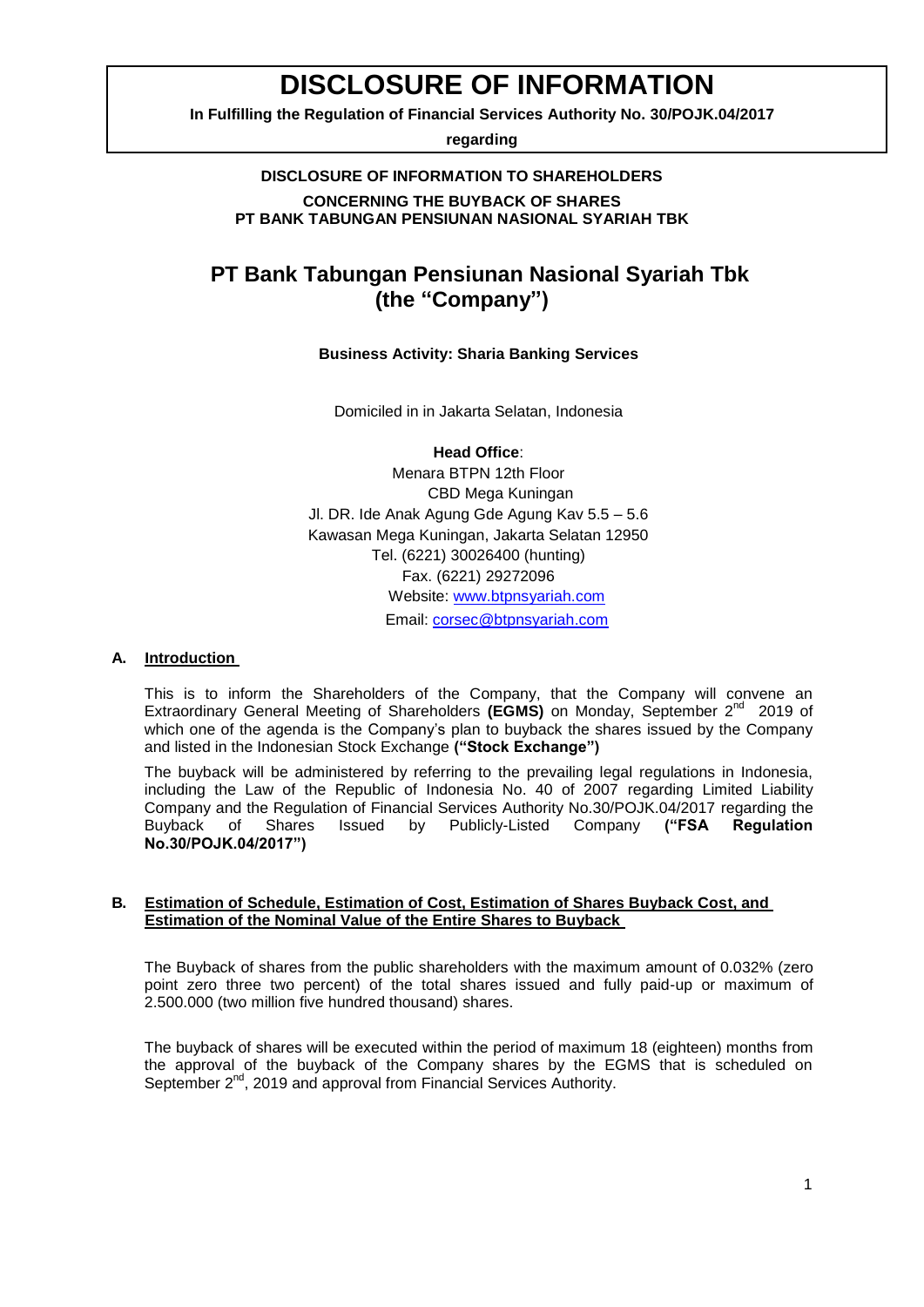# **DISCLOSURE OF INFORMATION**

**In Fulfilling the Regulation of Financial Services Authority No. 30/POJK.04/2017** 

**regarding**

#### **DISCLOSURE OF INFORMATION TO SHAREHOLDERS CONCERNING THE BUYBACK OF SHARES The Buyback of Shares Issued by Publicly-Listed Company**

**PT BANK TABUNGAN PENSIUNAN NASIONAL SYARIAH TBK**

# **PT Bank Tabungan Pensiunan Nasional Syariah Tbk (the "Company")**

# **Business Activity: Sharia Banking Services**

Domiciled in in Jakarta Selatan, Indonesia

**Head Office**: Menara BTPN 12th Floor CBD Mega Kuningan Jl. DR. Ide Anak Agung Gde Agung Kav 5.5 – 5.6 Kawasan Mega Kuningan, Jakarta Selatan 12950 Tel. (6221) 30026400 (hunting) Fax. (6221) 29272096 Website: [www.btpnsyariah.com](http://www.btpnsyariah.com/) Email: [corsec@btpnsyariah.com](mailto:corsec@btpnsyariah.com)

# **A. Introduction**

This is to inform the Shareholders of the Company, that the Company will convene an Extraordinary General Meeting of Shareholders (EGMS) on Monday, September 2<sup>nd</sup> 2019 of which one of the agenda is the Company's plan to buyback the shares issued by the Company and listed in the Indonesian Stock Exchange **("Stock Exchange")**

The buyback will be administered by referring to the prevailing legal regulations in Indonesia, including the Law of the Republic of Indonesia No. 40 of 2007 regarding Limited Liability Company and the Regulation of Financial Services Authority No.30/POJK.04/2017 regarding the Buyback of Shares Issued by Publicly-Listed Company **("FSA Regulation No.30/POJK.04/2017")**

## **B. Estimation of Schedule, Estimation of Cost, Estimation of Shares Buyback Cost, and Estimation of the Nominal Value of the Entire Shares to Buyback**

The Buyback of shares from the public shareholders with the maximum amount of 0.032% (zero point zero three two percent) of the total shares issued and fully paid-up or maximum of 2.500.000 (two million five hundred thousand) shares.

The buyback of shares will be executed within the period of maximum 18 (eighteen) months from the approval of the buyback of the Company shares by the EGMS that is scheduled on September 2<sup>nd</sup>, 2019 and approval from Financial Services Authority.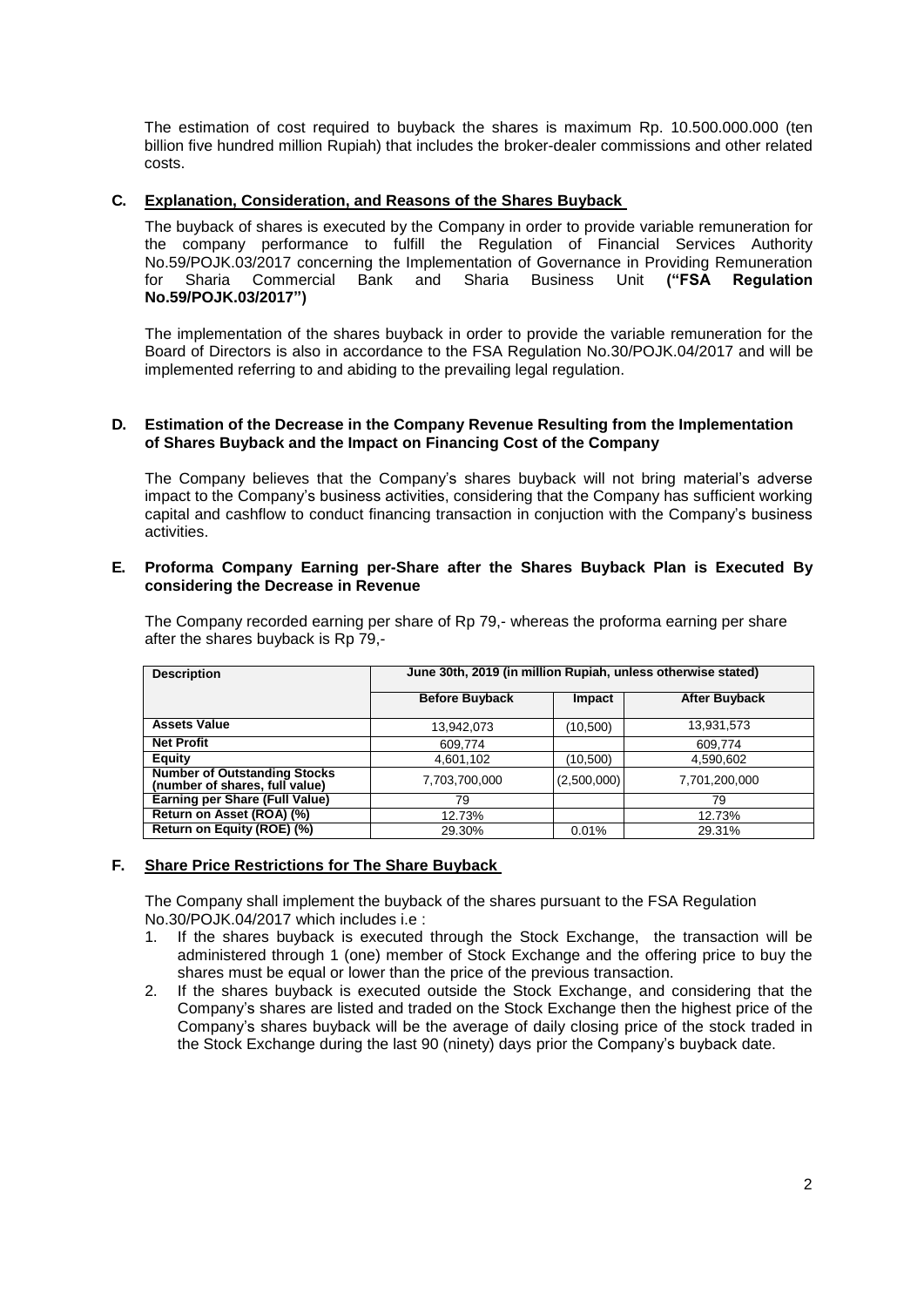The estimation of cost required to buyback the shares is maximum Rp. 10.500.000.000 (ten billion five hundred million Rupiah) that includes the broker-dealer commissions and other related costs.

# **C. Explanation, Consideration, and Reasons of the Shares Buyback**

The buyback of shares is executed by the Company in order to provide variable remuneration for the company performance to fulfill the Regulation of Financial Services Authority No.59/POJK.03/2017 concerning the Implementation of Governance in Providing Remuneration<br>for Sharia Commercial Bank and Sharia Business Unit ("FSA Requiation for Sharia Commercial Bank and Sharia Business Unit **("FSA Regulation No.59/POJK.03/2017")**

The implementation of the shares buyback in order to provide the variable remuneration for the Board of Directors is also in accordance to the FSA Regulation No.30/POJK.04/2017 and will be implemented referring to and abiding to the prevailing legal regulation.

#### **D. Estimation of the Decrease in the Company Revenue Resulting from the Implementation of Shares Buyback and the Impact on Financing Cost of the Company**

The Company believes that the Company's shares buyback will not bring material's adverse impact to the Company's business activities, considering that the Company has sufficient working capital and cashflow to conduct financing transaction in conjuction with the Company's business activities.

#### **E. Proforma Company Earning per-Share after the Shares Buyback Plan is Executed By considering the Decrease in Revenue**

| <b>Description</b>                                                    | June 30th, 2019 (in million Rupiah, unless otherwise stated) |             |                      |
|-----------------------------------------------------------------------|--------------------------------------------------------------|-------------|----------------------|
|                                                                       | <b>Before Buyback</b>                                        | Impact      | <b>After Buyback</b> |
| <b>Assets Value</b>                                                   | 13,942,073                                                   | (10,500)    | 13,931,573           |
| <b>Net Profit</b>                                                     | 609,774                                                      |             | 609,774              |
| Equity                                                                | 4,601,102                                                    | (10,500)    | 4,590,602            |
| <b>Number of Outstanding Stocks</b><br>(number of shares, full value) | 7,703,700,000                                                | (2,500,000) | 7,701,200,000        |
| Earning per Share (Full Value)                                        | 79                                                           |             | 79                   |
| Return on Asset (ROA) (%)                                             | 12.73%                                                       |             | 12.73%               |
| Return on Equity (ROE) (%)                                            | 29.30%                                                       | 0.01%       | 29.31%               |

The Company recorded earning per share of Rp 79,- whereas the proforma earning per share after the shares buyback is Rp 79,-

#### **F. Share Price Restrictions for The Share Buyback**

The Company shall implement the buyback of the shares pursuant to the FSA Regulation No.30/POJK.04/2017 which includes i.e :

- 1. If the shares buyback is executed through the Stock Exchange, the transaction will be administered through 1 (one) member of Stock Exchange and the offering price to buy the shares must be equal or lower than the price of the previous transaction.
- 2. If the shares buyback is executed outside the Stock Exchange, and considering that the Company's shares are listed and traded on the Stock Exchange then the highest price of the Company's shares buyback will be the average of daily closing price of the stock traded in the Stock Exchange during the last 90 (ninety) days prior the Company's buyback date.